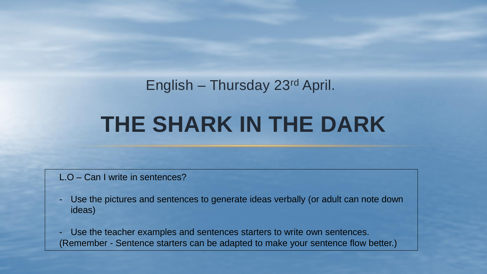# **THE SHARK IN THE DARK** English – Thursday 23rd April.

#### L.O – Can I write in sentences?

- Use the pictures and sentences to generate ideas verbally (or adult can note down ideas)
- Use the teacher examples and sentences starters to write own sentences. (Remember - Sentence starters can be adapted to make your sentence flow better.)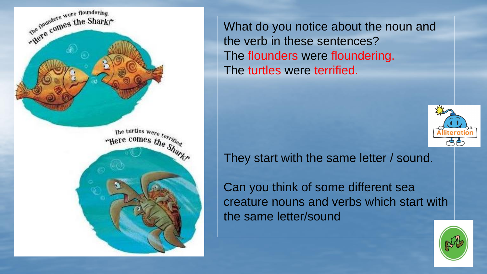

What do you notice about the noun and the verb in these sentences? The flounders were floundering. The turtles were terrified.



They start with the same letter / sound.

Can you think of some different sea creature nouns and verbs which start with the same letter/sound

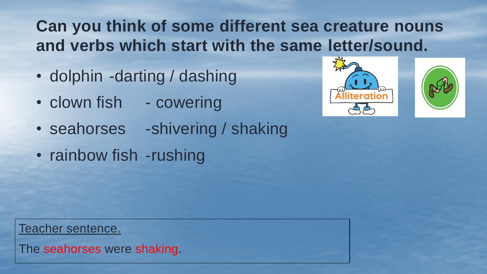### **Can you think of some different sea creature nouns and verbs which start with the same letter/sound.**

- dolphin -darting / dashing
- clown fish cowering
- seahorses -shivering / shaking
- rainbow fish -rushing





Teacher sentence.

The seahorses were shaking.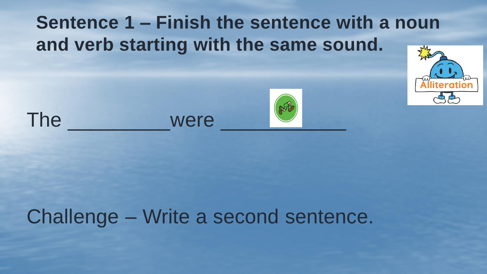## **Sentence 1 – Finish the sentence with a noun and verb starting with the same sound.**









# Challenge – Write a second sentence.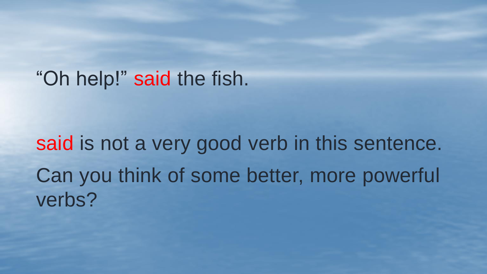### "Oh help!" said the fish.

# said is not a very good verb in this sentence. Can you think of some better, more powerful verbs?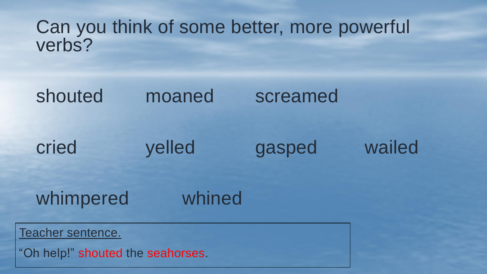#### Can you think of some better, more powerful verbs?

### shouted moaned screamed

### cried yelled gasped wailed

### whimpered whined

Teacher sentence.

"Oh help!" shouted the seahorses.